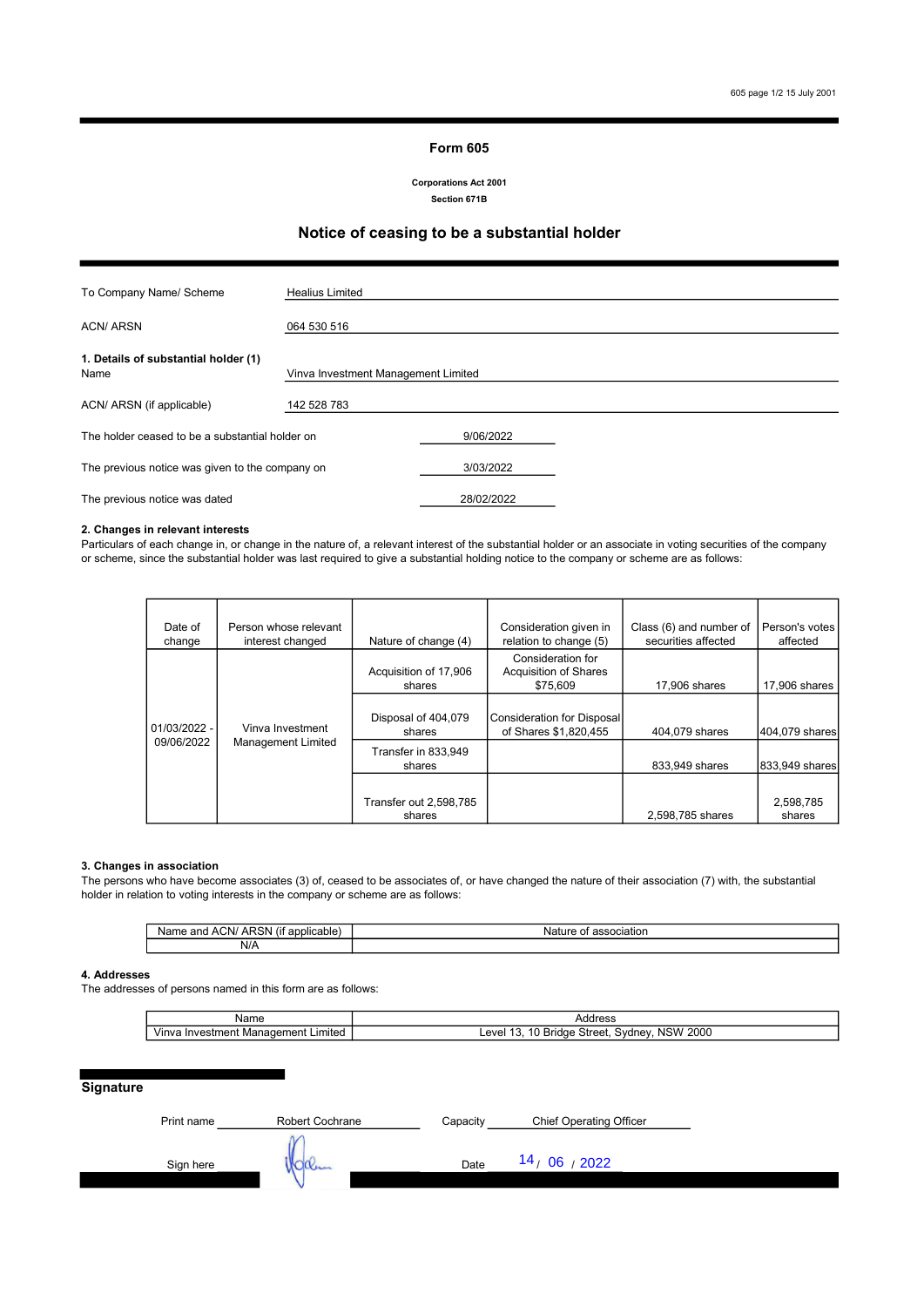#### Form 605

Section 671B Corporations Act 2001

## Notice of ceasing to be a substantial holder

| To Company Name/ Scheme                         | <b>Healius Limited</b>              |            |  |
|-------------------------------------------------|-------------------------------------|------------|--|
| <b>ACN/ ARSN</b>                                | 064 530 516                         |            |  |
| 1. Details of substantial holder (1)<br>Name    | Vinva Investment Management Limited |            |  |
| ACN/ ARSN (if applicable)                       | 142 528 783                         |            |  |
| The holder ceased to be a substantial holder on |                                     | 9/06/2022  |  |
| The previous notice was given to the company on |                                     | 3/03/2022  |  |
| The previous notice was dated                   |                                     | 28/02/2022 |  |

### 2. Changes in relevant interests

Particulars of each change in, or change in the nature of, a relevant interest of the substantial holder or an associate in voting securities of the company or scheme, since the substantial holder was last required to give a substantial holding notice to the company or scheme are as follows:

| Date of        | Person whose relevant     |                                 | Consideration given in                                        | Class (6) and number of | Person's votes |
|----------------|---------------------------|---------------------------------|---------------------------------------------------------------|-------------------------|----------------|
| change         | interest changed          | Nature of change (4)            | relation to change (5)                                        | securities affected     | affected       |
|                |                           | Acquisition of 17,906<br>shares | Consideration for<br><b>Acquisition of Shares</b><br>\$75,609 | 17,906 shares           | 17,906 shares  |
|                |                           |                                 |                                                               |                         |                |
| $01/03/2022 -$ | Vinva Investment          | Disposal of 404,079<br>shares   | Consideration for Disposal<br>of Shares \$1,820,455           | 404.079 shares          | 404.079 shares |
| 09/06/2022     | <b>Management Limited</b> | Transfer in 833.949<br>shares   |                                                               | 833,949 shares          | 833.949 shares |
|                |                           |                                 |                                                               |                         |                |
|                |                           | Transfer out 2,598,785          |                                                               |                         | 2,598,785      |
|                |                           | shares                          |                                                               | 2,598,785 shares        | shares         |

#### 3. Changes in association

The persons who have become associates (3) of, ceased to be associates of, or have changed the nature of their association (7) with, the substantial holder in relation to voting interests in the company or scheme are as follows:

| $\cdots$<br>.IXI<br>лF<br>anc<br>,,,<br>. . |  |
|---------------------------------------------|--|
| N/A                                         |  |

### 4. Addresses

The addresses of persons named in this form are as follows:

| Name                                                                 | $A - A - A$<br>Address                                        |  |
|----------------------------------------------------------------------|---------------------------------------------------------------|--|
| imited<br>-------<br>Vinva<br>nen<br>Investn<br>ader<br>Mana<br>nenr | 2000<br><b>NSW</b><br>∟eve'<br>∴ovdne b<br>` Street.<br>впаае |  |

### **Signature**

| 14 <sub>/</sub> 06 <sub>/</sub> 2022<br>Date<br>Sign here<br>uuu | Print name | Robert Cochrane | Capacity | <b>Chief Operating Officer</b> |
|------------------------------------------------------------------|------------|-----------------|----------|--------------------------------|
|                                                                  |            |                 |          |                                |
|                                                                  |            |                 |          |                                |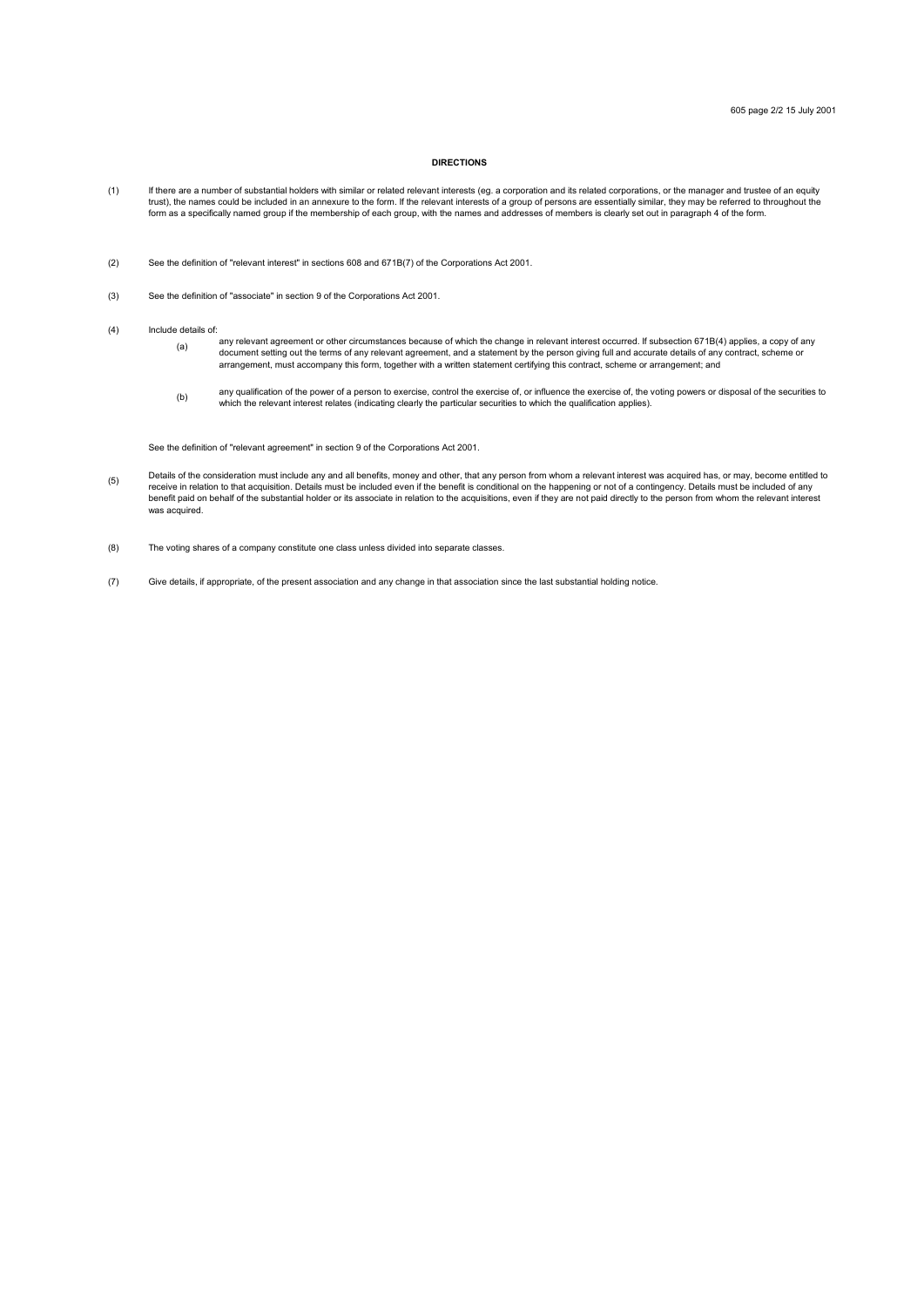### DIRECTIONS

- (1) If there are a number of substantial holders with similar or related relevant interests (eg. a corporation and its related corporations, or the manager and trustee of an equity trust), the names could be included in an annexure to the form. If the relevant interests of a group of persons are essentially similar, they may be referred to throughout the<br>form as a specifically named group if the memb
- (2) See the definition of "relevant interest" in sections 608 and 671B(7) of the Corporations Act 2001.
- (3) See the definition of "associate" in section 9 of the Corporations Act 2001.
- (4) Include details of:
	- (a) .<br>\_any relevant agreement or other circumstances because of which the change in relevant interest occurred. If subsection 671B(4) applies, a copy of any document setting out the terms of any relevant agreement, and a statement by the person giving full and accurate details of any contract, scheme or arrangement, must accompany this form, together with a written statement certifying this contract, scheme or arrangement; and
		- (b) any qualification of the power of a person to exercise, control the exercise of, or influence the exercise of, the voting powers or disposal of the securities to<br>which the relevant interest relates (indicating clearly the

See the definition of "relevant agreement" in section 9 of the Corporations Act 2001.

- (5) Details of the consideration must include any and all benefits, money and other, that any person from whom a relevant interest was acquired has, or may, become entitled to<br>receive in relation to that acquisition. Details m receive in relation to that acquisition. Details must be included even if the scribin is conditioned on the relation of the whole or its associate in relation to the acquisitions, even if they are not paid directly to the was acquired.
- (8) The voting shares of a company constitute one class unless divided into separate classes.
- (7) Give details, if appropriate, of the present association and any change in that association since the last substantial holding notice.